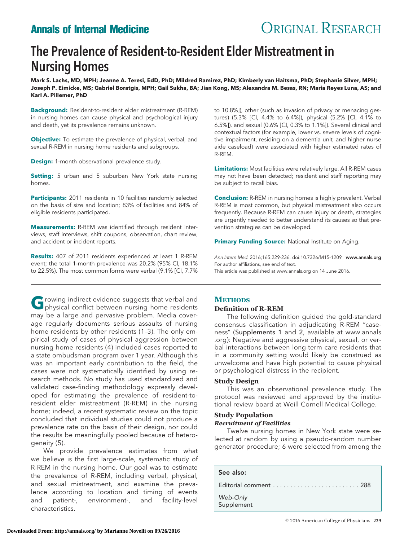# **Annals of Internal Medicine CRIGINAL RESEARCH**

## The Prevalence of Resident-to-Resident Elder Mistreatment in Nursing Homes

**Mark S. Lachs, MD, MPH; Jeanne A. Teresi, EdD, PhD; Mildred Ramirez, PhD; Kimberly van Haitsma, PhD; Stephanie Silver, MPH; Joseph P. Eimicke, MS; Gabriel Boratgis, MPH; Gail Sukha, BA; Jian Kong, MS; Alexandra M. Besas, RN; Maria Reyes Luna, AS; and Karl A. Pillemer, PhD**

**Background:** Resident-to-resident elder mistreatment (R-REM) in nursing homes can cause physical and psychological injury and death, yet its prevalence remains unknown.

**Objective:** To estimate the prevalence of physical, verbal, and sexual R-REM in nursing home residents and subgroups.

**Design:** 1-month observational prevalence study.

**Setting:** 5 urban and 5 suburban New York state nursing homes.

**Participants:** 2011 residents in 10 facilities randomly selected on the basis of size and location; 83% of facilities and 84% of eligible residents participated.

**Measurements:** R-REM was identified through resident interviews, staff interviews, shift coupons, observation, chart review, and accident or incident reports.

**Results:** 407 of 2011 residents experienced at least 1 R-REM event; the total 1-month prevalence was 20.2% (95% CI, 18.1% to 22.5%). The most common forms were verbal (9.1% [CI, 7.7%

**G**rowing indirect evidence suggests that verbal and physical conflict between nursing home residents may be a large and pervasive problem. Media coverage regularly documents serious assaults of nursing home residents by other residents (1–3). The only empirical study of cases of physical aggression between nursing home residents (4) included cases reported to a state ombudsman program over 1 year. Although this was an important early contribution to the field, the cases were not systematically identified by using research methods. No study has used standardized and validated case-finding methodology expressly developed for estimating the prevalence of resident-toresident elder mistreatment (R-REM) in the nursing home; indeed, a recent systematic review on the topic concluded that individual studies could not produce a prevalence rate on the basis of their design, nor could the results be meaningfully pooled because of heterogeneity (5).

We provide prevalence estimates from what we believe is the first large-scale, systematic study of R-REM in the nursing home. Our goal was to estimate the prevalence of R-REM, including verbal, physical, and sexual mistreatment, and examine the prevalence according to location and timing of events and patient-, environment-, and facility-level characteristics.

to 10.8%]), other (such as invasion of privacy or menacing gestures) (5.3% [CI, 4.4% to 6.4%]), physical (5.2% [CI, 4.1% to 6.5%]), and sexual (0.6% [CI, 0.3% to 1.1%]). Several clinical and contextual factors (for example, lower vs. severe levels of cognitive impairment, residing on a dementia unit, and higher nurse aide caseload) were associated with higher estimated rates of R-REM.

**Limitations:** Most facilities were relatively large. All R-REM cases may not have been detected; resident and staff reporting may be subject to recall bias.

**Conclusion:** R-REM in nursing homes is highly prevalent. Verbal R-REM is most common, but physical mistreatment also occurs frequently. Because R-REM can cause injury or death, strategies are urgently needed to better understand its causes so that prevention strategies can be developed.

**Primary Funding Source:** National Institute on Aging.

Ann Intern Med. 2016;165:229-236. doi:10.7326/M15-1209 www.annals.org For author affiliations, see end of text. This article was published at [www.annals.org](http://www.annals.org) on 14 June 2016.

### **METHODS**

#### **Definition of R-REM**

The following definition guided the gold-standard consensus classification in adjudicating R-REM "caseness" (Supplements 1 and 2, available at [www.annals](http://www.annals.org) [.org\)](http://www.annals.org): Negative and aggressive physical, sexual, or verbal interactions between long-term care residents that in a community setting would likely be construed as unwelcome and have high potential to cause physical or psychological distress in the recipient.

#### **Study Design**

This was an observational prevalence study. The protocol was reviewed and approved by the institutional review board at Weill Cornell Medical College.

#### **Study Population** *Recruitment of Facilities*

Twelve nursing homes in New York state were se-

lected at random by using a pseudo-random number generator procedure; 6 were selected from among the

#### See also:

Editorial comment . . . . . . . . . . . . . . . . . . . . . . . . . 288

*Web-Only* **Supplement**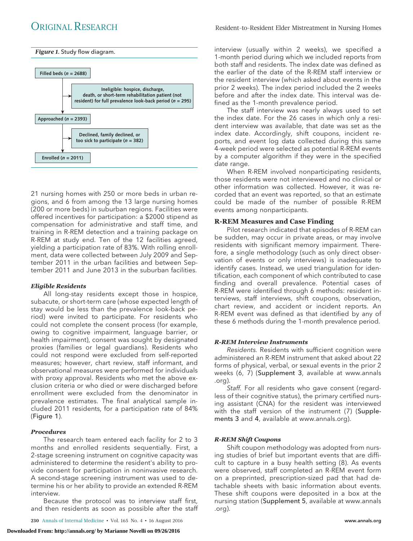

21 nursing homes with 250 or more beds in urban regions, and 6 from among the 13 large nursing homes (200 or more beds) in suburban regions. Facilities were offered incentives for participation: a \$2000 stipend as compensation for administrative and staff time, and training in R-REM detection and a training package on R-REM at study end. Ten of the 12 facilities agreed, yielding a participation rate of 83%. With rolling enrollment, data were collected between July 2009 and September 2011 in the urban facilities and between September 2011 and June 2013 in the suburban facilities.

#### *Eligible Residents*

All long-stay residents except those in hospice, subacute, or short-term care (whose expected length of stay would be less than the prevalence look-back period) were invited to participate. For residents who could not complete the consent process (for example, owing to cognitive impairment, language barrier, or health impairment), consent was sought by designated proxies (families or legal guardians). Residents who could not respond were excluded from self-reported measures; however, chart review, staff informant, and observational measures were performed for individuals with proxy approval. Residents who met the above exclusion criteria or who died or were discharged before enrollment were excluded from the denominator in prevalence estimates. The final analytical sample included 2011 residents, for a participation rate of 84% (Figure 1).

#### *Procedures*

The research team entered each facility for 2 to 3 months and enrolled residents sequentially. First, a 2-stage screening instrument on cognitive capacity was administered to determine the resident's ability to provide consent for participation in noninvasive research. A second-stage screening instrument was used to determine his or her ability to provide an extended R-REM interview.

Because the protocol was to interview staff first, and then residents as soon as possible after the staff

**230** Annals of Internal Medicine • Vol. 165 No. 4 • 16 August 2016 www.annals.org

**Downloaded From: http://annals.org/ by Marianne Novelli on 09/26/2016**

interview (usually within 2 weeks), we specified a 1-month period during which we included reports from both staff and residents. The index date was defined as the earlier of the date of the R-REM staff interview or the resident interview (which asked about events in the prior 2 weeks). The index period included the 2 weeks before and after the index date. This interval was defined as the 1-month prevalence period.

The staff interview was nearly always used to set the index date. For the 26 cases in which only a resident interview was available, that date was set as the index date. Accordingly, shift coupons, incident reports, and event log data collected during this same 4-week period were selected as potential R-REM events by a computer algorithm if they were in the specified date range.

When R-REM involved nonparticipating residents, those residents were not interviewed and no clinical or other information was collected. However, it was recorded that an event was reported, so that an estimate could be made of the number of possible R-REM events among nonparticipants.

#### **R-REM Measures and Case Finding**

Pilot research indicated that episodes of R-REM can be sudden, may occur in private areas, or may involve residents with significant memory impairment. Therefore, a single methodology (such as only direct observation of events or only interviews) is inadequate to identify cases. Instead, we used triangulation for identification, each component of which contributed to case finding and overall prevalence. Potential cases of R-REM were identified through 6 methods: resident interviews, staff interviews, shift coupons, observation, chart review, and accident or incident reports. An R-REM event was defined as that identified by any of these 6 methods during the 1-month prevalence period.

#### *R-REM Interview Instruments*

Residents. Residents with sufficient cognition were administered an R-REM instrument that asked about 22 forms of physical, verbal, or sexual events in the prior 2 weeks (6, 7) (Supplement 3, available at [www.annals](http://www.annals.org) [.org\)](http://www.annals.org).

Staff. For all residents who gave consent (regardless of their cognitive status), the primary certified nursing assistant (CNA) for the resident was interviewed with the staff version of the instrument (7) (Supplements 3 and 4, available at [www.annals.org\)](http://www.annals.org).

#### *R-REM Shift Coupons*

Shift coupon methodology was adopted from nursing studies of brief but important events that are difficult to capture in a busy health setting (8). As events were observed, staff completed an R-REM event form on a preprinted, prescription-sized pad that had detachable sheets with basic information about events. These shift coupons were deposited in a box at the nursing station (Supplement 5, available at [www.annals](http://www.annals.org) [.org\)](http://www.annals.org).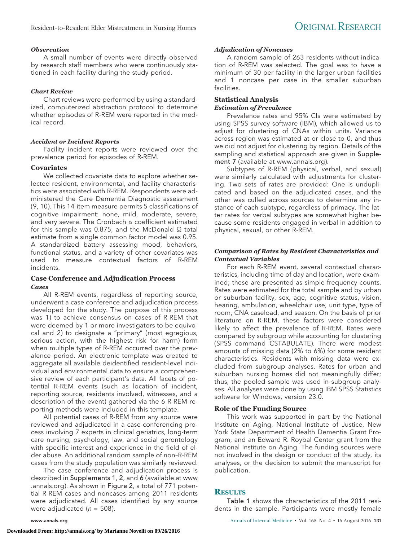#### *Observation*

A small number of events were directly observed by research staff members who were continuously stationed in each facility during the study period.

### *Chart Review*

Chart reviews were performed by using a standardized, computerized abstraction protocol to determine whether episodes of R-REM were reported in the medical record.

### *Accident or Incident Reports*

Facility incident reports were reviewed over the prevalence period for episodes of R-REM.

### **Covariates**

We collected covariate data to explore whether selected resident, environmental, and facility characteristics were associated with R-REM. Respondents were administered the Care Dementia Diagnostic assessment (9, 10). This 14-item measure permits 5 classifications of cognitive impairment: none, mild, moderate, severe, and very severe. The Cronbach  $\alpha$  coefficient estimated for this sample was 0.875, and the McDonald Ω total estimate from a single common factor model was 0.95. A standardized battery assessing mood, behaviors, functional status, and a variety of other covariates was used to measure contextual factors of R-REM incidents.

### **Case Conference and Adjudication Process** *Cases*

All R-REM events, regardless of reporting source, underwent a case conference and adjudication process developed for the study. The purpose of this process was 1) to achieve consensus on cases of R-REM that were deemed by 1 or more investigators to be equivocal and 2) to designate a "primary" (most egregious, serious action, with the highest risk for harm) form when multiple types of R-REM occurred over the prevalence period. An electronic template was created to aggregate all available deidentified resident-level individual and environmental data to ensure a comprehensive review of each participant's data. All facets of potential R-REM events (such as location of incident, reporting source, residents involved, witnesses, and a description of the event) gathered via the 6 R-REM reporting methods were included in this template.

All potential cases of R-REM from any source were reviewed and adjudicated in a case-conferencing process involving 7 experts in clinical geriatrics, long-term care nursing, psychology, law, and social gerontology with specific interest and experience in the field of elder abuse. An additional random sample of non–R-REM cases from the study population was similarly reviewed.

The case conference and adjudication process is described in Supplements 1, 2, and 6 (available at [www](http://www.annals.org) [.annals.org\)](http://www.annals.org). As shown in Figure 2, a total of 771 potential R-REM cases and noncases among 2011 residents were adjudicated. All cases identified by any source were adjudicated ( $n = 508$ ).

#### *Adjudication of Noncases*

A random sample of 263 residents without indication of R-REM was selected. The goal was to have a minimum of 30 per facility in the larger urban facilities and 1 noncase per case in the smaller suburban facilities.

#### **Statistical Analysis** *Estimation of Prevalence*

Prevalence rates and 95% CIs were estimated by using SPSS survey software (IBM), which allowed us to adjust for clustering of CNAs within units. Variance across region was estimated at or close to 0, and thus we did not adjust for clustering by region. Details of the sampling and statistical approach are given in Supplement 7 (available at [www.annals.org\)](http://www.annals.org).

Subtypes of R-REM (physical, verbal, and sexual) were similarly calculated with adjustments for clustering. Two sets of rates are provided: One is unduplicated and based on the adjudicated cases, and the other was culled across sources to determine any instance of each subtype, regardless of primacy. The latter rates for verbal subtypes are somewhat higher because some residents engaged in verbal in addition to physical, sexual, or other R-REM.

### *Comparison of Rates by Resident Characteristics and Contextual Variables*

For each R-REM event, several contextual characteristics, including time of day and location, were examined; these are presented as simple frequency counts. Rates were estimated for the total sample and by urban or suburban facility, sex, age, cognitive status, vision, hearing, ambulation, wheelchair use, unit type, type of room, CNA caseload, and season. On the basis of prior literature on R-REM, these factors were considered likely to affect the prevalence of R-REM. Rates were compared by subgroup while accounting for clustering (SPSS command CSTABULATE). There were modest amounts of missing data (2% to 6%) for some resident characteristics. Residents with missing data were excluded from subgroup analyses. Rates for urban and suburban nursing homes did not meaningfully differ; thus, the pooled sample was used in subgroup analyses. All analyses were done by using IBM SPSS Statistics software for Windows, version 23.0.

#### **Role of the Funding Source**

This work was supported in part by the National Institute on Aging, National Institute of Justice, New York State Department of Health Dementia Grant Program, and an Edward R. Roybal Center grant from the National Institute on Aging. The funding sources were not involved in the design or conduct of the study, its analyses, or the decision to submit the manuscript for publication.

### **RESULTS**

Table 1 shows the characteristics of the 2011 residents in the sample. Participants were mostly female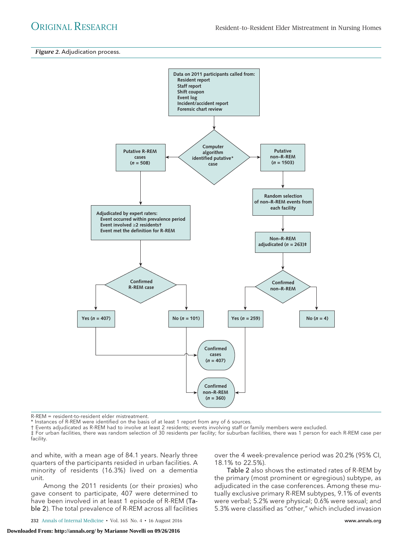#### *Figure 2.* Adjudication process.



R-REM = resident-to-resident elder mistreatment.

\* Instances of R-REM were identified on the basis of at least 1 report from any of 6 sources.

† Events adjudicated as R-REM had to involve at least 2 residents; events involving staff or family members were excluded. ‡ For urban facilities, there was random selection of 30 residents per facility; for suburban facilities, there was 1 person for each R-REM case per facility.

and white, with a mean age of 84.1 years. Nearly three quarters of the participants resided in urban facilities. A minority of residents (16.3%) lived on a dementia unit.

Among the 2011 residents (or their proxies) who gave consent to participate, 407 were determined to have been involved in at least 1 episode of R-REM (Table 2). The total prevalence of R-REM across all facilities over the 4 week-prevalence period was 20.2% (95% CI, 18.1% to 22.5%).

Table 2 also shows the estimated rates of R-REM by the primary (most prominent or egregious) subtype, as adjudicated in the case conferences. Among these mutually exclusive primary R-REM subtypes, 9.1% of events were verbal; 5.2% were physical; 0.6% were sexual; and 5.3% were classified as "other," which included invasion

**232** Annals of Internal Medicine • Vol. 165 No. 4 • 16 August 2016 www.annals.org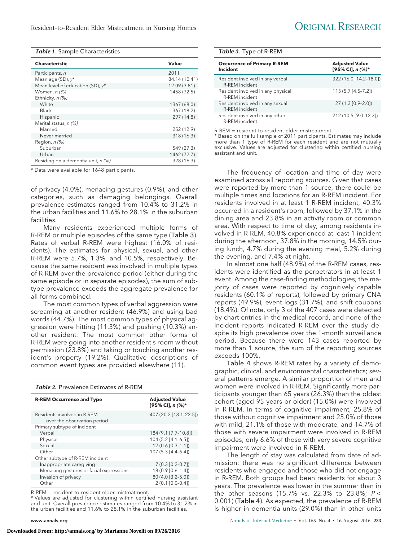| <b>Characteristic</b>                 | Value         |
|---------------------------------------|---------------|
| Participants, n                       | 2011          |
| Mean age (SD), $y^*$                  | 84.14 (10.41) |
| Mean level of education (SD), $v^*$   | 12.09 (3.81)  |
| Women, $n$ $(\%)$<br>Ethnicity, n (%) | 1458 (72.5)   |
| White                                 | 1367 (68.0)   |
| Black                                 | 367 (18.2)    |
| Hispanic                              | 297 (14.8)    |
| Marital status, n (%)                 |               |
| Married                               | 252 (12.9)    |
| Never married                         | 318 (16.3)    |
| Region, n (%)                         |               |
| Suburban                              | 549 (27.3)    |
| Urban                                 | 1462 (72.7)   |
| Residing on a dementia unit, n (%)    | 328 (16.3)    |

\* Data were available for 1648 participants.

of privacy (4.0%), menacing gestures (0.9%), and other categories, such as damaging belongings. Overall prevalence estimates ranged from 10.4% to 31.2% in the urban facilities and 11.6% to 28.1% in the suburban facilities.

Many residents experienced multiple forms of R-REM or multiple episodes of the same type (Table 3). Rates of verbal R-REM were highest (16.0% of residents). The estimates for physical, sexual, and other R-REM were 5.7%, 1.3%, and 10.5%, respectively. Because the same resident was involved in multiple types of R-REM over the prevalence period (either during the same episode or in separate episodes), the sum of subtype prevalence exceeds the aggregate prevalence for all forms combined.

The most common types of verbal aggression were screaming at another resident (46.9%) and using bad words (44.7%). The most common types of physical aggression were hitting (11.3%) and pushing (10.3%) another resident. The most common other forms of R-REM were going into another resident's room without permission (23.8%) and taking or touching another resident's property (19.2%). Qualitative descriptions of common event types are provided elsewhere (11).

| Table 2. Prevalence Estimates of R-REM                     |                                           |  |
|------------------------------------------------------------|-------------------------------------------|--|
| <b>R-REM Occurrence and Type</b>                           | <b>Adjusted Value</b><br>[95% CI], n (%)* |  |
| Residents involved in R-REM<br>over the observation period | 407 (20.2 [18.1-22.5])                    |  |
| Primary subtype of incident                                |                                           |  |
| Verbal                                                     | 184 (9.1 [7.7-10.8])                      |  |
| Physical                                                   | 104 (5.2 [4.1-6.5])                       |  |
| Sexual                                                     | $12(0.6[0.3-1.1])$                        |  |
| Other                                                      | 107 (5.3 [4.4-6.4])                       |  |
| Other subtype of R-REM incident                            |                                           |  |
| Inappropriate caregiving                                   | $7(0.3[0.2-0.7])$                         |  |
| Menacing gestures or facial expressions                    | 18 (0.9 [0.6-1.4])                        |  |
| Invasion of privacy                                        | 80 (4.0 [3.2-5.0])                        |  |
| Other                                                      | $2(0.1[0.0-0.4])$                         |  |

R-REM = resident-to-resident elder mistreatment.

\* Values are adjusted for clustering within certified nursing assistant and unit. Overall prevalence estimates ranged from 10.4% to 31.2% in the urban facilities and 11.6% to 28.1% in the suburban facilities.

| Table 3. Type of R-REM                                   |                                           |
|----------------------------------------------------------|-------------------------------------------|
| <b>Occurrence of Primary R-REM</b><br>Incident           | <b>Adjusted Value</b><br>[95% CI], n (%)* |
| Resident involved in any verbal<br>R-REM incident        | 322 (16.0 [14.2-18.0])                    |
| Resident involved in any physical<br>R-REM incident      | 115 (5.7 [4.5-7.2])                       |
| Resident involved in any sexual<br><b>R-REM</b> incident | 27 (1.3 [0.9-2.0])                        |
| Resident involved in any other<br>R-REM incident         | 212 (10.5 [9.0-12.3])                     |

R-REM = resident-to-resident elder mistreatment.

\* Based on the full sample of 2011 participants. Estimates may include more than 1 type of R-REM for each resident and are not mutually exclusive. Values are adjusted for clustering within certified nursing assistant and unit.

The frequency of location and time of day were examined across all reporting sources. Given that cases were reported by more than 1 source, there could be multiple times and locations for an R-REM incident. For residents involved in at least 1 R-REM incident, 40.3% occurred in a resident's room, followed by 37.1% in the dining area and 23.8% in an activity room or common area. With respect to time of day, among residents involved in R-REM, 40.8% experienced at least 1 incident during the afternoon, 37.8% in the morning, 14.5% during lunch, 4.7% during the evening meal, 5.2% during the evening, and 7.4% at night.

In almost one half (48.9%) of the R-REM cases, residents were identified as the perpetrators in at least 1 event. Among the case-finding methodologies, the majority of cases were reported by cognitively capable residents (60.1% of reports), followed by primary CNA reports (49.9%), event logs (31.7%), and shift coupons (18.4%). Of note, only 3 of the 407 cases were detected by chart entries in the medical record, and none of the incident reports indicated R-REM over the study despite its high prevalence over the 1-month surveillance period. Because there were 143 cases reported by more than 1 source, the sum of the reporting sources exceeds 100%.

Table 4 shows R-REM rates by a variety of demographic, clinical, and environmental characteristics; several patterns emerge. A similar proportion of men and women were involved in R-REM. Significantly more participants younger than 65 years (26.3%) than the oldest cohort (aged 95 years or older) (15.0%) were involved in R-REM. In terms of cognitive impairment, 25.8% of those without cognitive impairment and 25.0% of those with mild, 21.1% of those with moderate, and 14.7% of those with severe impairment were involved in R-REM episodes; only 6.6% of those with very severe cognitive impairment were involved in R-REM.

The length of stay was calculated from date of admission; there was no significant difference between residents who engaged and those who did not engage in R-REM. Both groups had been residents for about 3 years. The prevalence was lower in the summer than in the other seasons (15.7% vs. 22.3% to 23.8%;  $P <$ 0.001) (Table 4). As expected, the prevalence of R-REM is higher in dementia units (29.0%) than in other units

www.annals.org **Annals of Internal Medicine • Vol. 165 No. 4 • 16 August 2016 233**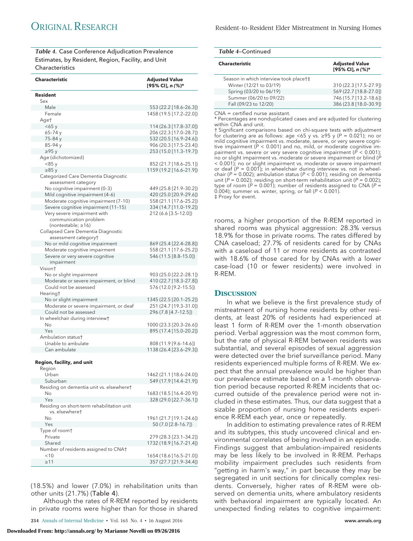ORIGINAL RESEARCH Resident-to-Resident-to-Resident Elder Mistreatment in Nursing Homes

*Table 4.* Case Conference Adjudication Prevalence Estimates, by Resident, Region, Facility, and Unit **Characteristics** 

| <b>Characteristic</b>                                | <b>Adjusted Value</b><br>[95% CI], n (%)*         |
|------------------------------------------------------|---------------------------------------------------|
| <b>Resident</b>                                      |                                                   |
| Sex                                                  |                                                   |
| Male                                                 | 553 (22.2 [18.6–26.3])                            |
| Female                                               | 1458 (19.5 [17.2-22.0])                           |
| Age†                                                 |                                                   |
| $<$ 65 $y$                                           | 114 (26.3 [17.8-37.0])                            |
| 65-74 y                                              | 206 (22.3 [17.0-28.7])                            |
| 75-84 y                                              | 532 (20.5 [16.9-24.6])                            |
| 85-94 y                                              | 906 (20.3 [17.5-23.4])                            |
| ≥95 y                                                | 253 (15.0 [11.3-19.7])                            |
| Age (dichotomized)<br><85y                           |                                                   |
| ≥85 y                                                | 852 (21.7 [18.6–25.1])<br>1159 (19.2 [16.6-21.9]) |
| Categorized Care Dementia Diagnostic                 |                                                   |
| assessment category                                  |                                                   |
| No cognitive impairment (0-3)                        | 449 (25.8 [21.9-30.2])                            |
| Mild cognitive impairment (4-6)                      | 420 (25.0 [20.9-29.6])                            |
| Moderate cognitive impairment (7-10)                 | 558 (21.1 [17.6-25.2])                            |
| Severe cognitive impairment (11-15)                  | 334 (14.7 [11.0-19.2])                            |
| Very severe impairment with                          | 212 (6.6 [3.5-12.0])                              |
| communication problem                                |                                                   |
| (nontestable; ≥16)                                   |                                                   |
| Collapsed Care Dementia Diagnostic                   |                                                   |
| assessment category†                                 |                                                   |
| No or mild cognitive impairment                      | 869 (25.4 [22.4-28.8])                            |
| Moderate cognitive impairment                        | 558 (21.1 [17.6-25.2])                            |
| Severe or very severe cognitive<br>impairment        | 546 (11.5 [8.8-15.0])                             |
| Vision†                                              |                                                   |
| No or slight impairment                              | 903 (25.0 [22.2-28.1])                            |
| Moderate or severe impairment, or blind              | 410 (22.7 [18.3-27.8])                            |
| Could not be assessed                                | 576 (12.0 [9.2-15.5])                             |
| Hearing†                                             |                                                   |
| No or slight impairment                              | 1345 (22.5 [20.1-25.2])                           |
| Moderate or severe impairment, or deaf               | 251 (24.7 [19.3-31.0])                            |
| Could not be assessed                                | 296 (7.8 [4.7-12.5])                              |
| In wheelchair during interview†                      |                                                   |
| No                                                   | 1000 (23.3 [20.3-26.6])                           |
| Yes                                                  | 895 (17.4 [15.0-20.2])                            |
| Ambulation status†                                   |                                                   |
| Unable to ambulate                                   | 808 (11.9 [9.6-14.6])                             |
| Can ambulate                                         | 1138 (26.4 [23.6-29.3])                           |
|                                                      |                                                   |
| Region, facility, and unit                           |                                                   |
| Region                                               |                                                   |
| Urban                                                | 1462 (21.1 [18.6–24.0])                           |
| Suburban<br>Residing on dementia unit vs. elsewhere† | 549 (17.9 [14.4-21.9])                            |
| No                                                   | 1683 (18.5 [16.4-20.9])                           |
| Yes                                                  | 328 (29.0 [22.7-36.1])                            |
| Residing on short-term rehabilitation unit           |                                                   |
| vs. elsewheret                                       |                                                   |
| No                                                   | 1961 (21.7 [19.1-24.6])                           |
| Yes                                                  | 50 (7.0 [2.8-16.7])                               |
| Type of room†                                        |                                                   |
| Private                                              | 279 (28.3 [23.1-34.2])                            |
| Shared                                               | 1732 (18.9 [16.7-21.4])                           |
| Number of residents assigned to CNA†                 |                                                   |
| < 10                                                 | 1654 (18.6 [16.5-21.0])                           |
| $\geq$ 11                                            | 357 (27.7 [21.9-34.4])                            |

(18.5%) and lower (7.0%) in rehabilitation units than other units (21.7%) (Table 4).

Although the rates of R-REM reported by residents in private rooms were higher than for those in shared

**234** Annals of Internal Medicine • Vol. 165 No. 4 • 16 August 2016 www.annals.org

| <b>Characteristic</b>                  | <b>Adjusted Value</b><br>[95% CI], n (%)* |
|----------------------------------------|-------------------------------------------|
| Season in which interview took place†‡ |                                           |
| Winter (12/21 to 03/19)                | 310 (22.3 [17.5-27.9])                    |
| Spring (03/20 to 06/19)                | 569 (22.7 [18.8-27.0])                    |
| Summer (06/20 to 09/22)                | 746 (15.7 [13.2-18.6])                    |
| Fall (09/23 to 12/20)                  | 386 (23.8 [18.0-30.9])                    |

CNA = certified nurse assistant.

\* Percentages are nonduplicated cases and are adjusted for clustering within CNA and unit.

† Significant comparisons based on chi-square tests with adjustment for clustering are as follows: age <65 y vs. ≥95 y (P = 0.021); no or mild cognitive impairment vs. moderate, severe, or very severe cognitive impairment (P < 0.001) and no, mild, or moderate cognitive impairment vs. severe or very severe cognitive impairment ( $\bar{P}$  < 0.001) no or slight impairment vs. moderate or severe impairment or blind ( $\hat{P}$ < 0.001); no or slight impairment vs. moderate or severe impairment or deaf ( $P = 0.001$ ); in wheelchair during interview vs. not in wheelchair (P = 0.002); ambulation status (P < 0.001); residing on dementia unit ( $\dot{P} = 0.002$ ); residing on short-term rehabilitation unit ( $P = 0.002$ ); type of room (P = 0.001); number of residents assigned to CNA (P = 0.004); summer vs. winter, spring, or fall (P < 0.001). ‡ Proxy for event.

rooms, a higher proportion of the R-REM reported in shared rooms was physical aggression: 28.3% versus 18.9% for those in private rooms. The rates differed by CNA caseload; 27.7% of residents cared for by CNAs with a caseload of 11 or more residents as contrasted with 18.6% of those cared for by CNAs with a lower case-load (10 or fewer residents) were involved in R-REM.

#### **DISCUSSION**

In what we believe is the first prevalence study of mistreatment of nursing home residents by other residents, at least 20% of residents had experienced at least 1 form of R-REM over the 1-month observation period. Verbal aggression was the most common form, but the rate of physical R-REM between residents was substantial, and several episodes of sexual aggression were detected over the brief surveillance period. Many residents experienced multiple forms of R-REM. We expect that the annual prevalence would be higher than our prevalence estimate based on a 1-month observation period because reported R-REM incidents that occurred outside of the prevalence period were not included in these estimates. Thus, our data suggest that a sizable proportion of nursing home residents experience R-REM each year, once or repeatedly.

In addition to estimating prevalence rates of R-REM and its subtypes, this study uncovered clinical and environmental correlates of being involved in an episode. Findings suggest that ambulation-impaired residents may be less likely to be involved in R-REM. Perhaps mobility impairment precludes such residents from "getting in harm's way," in part because they may be segregated in unit sections for clinically complex residents. Conversely, higher rates of R-REM were observed on dementia units, where ambulatory residents with behavioral impairment are typically located. An unexpected finding relates to cognitive impairment: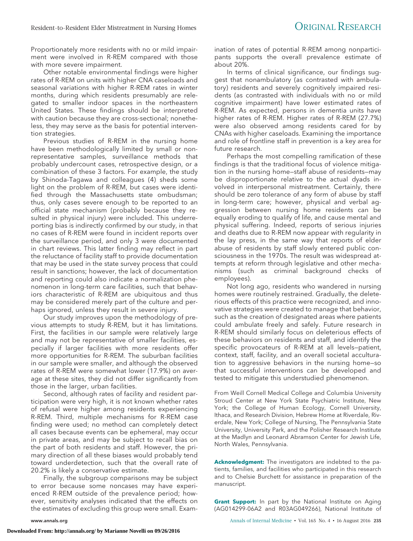Proportionately more residents with no or mild impairment were involved in R-REM compared with those with more severe impairment.

Other notable environmental findings were higher rates of R-REM on units with higher CNA caseloads and seasonal variations with higher R-REM rates in winter months, during which residents presumably are relegated to smaller indoor spaces in the northeastern United States. These findings should be interpreted with caution because they are cross-sectional; nonetheless, they may serve as the basis for potential intervention strategies.

Previous studies of R-REM in the nursing home have been methodologically limited by small or nonrepresentative samples, surveillance methods that probably undercount cases, retrospective design, or a combination of these 3 factors. For example, the study by Shinoda-Tagawa and colleagues (4) sheds some light on the problem of R-REM, but cases were identified through the Massachusetts state ombudsman; thus, only cases severe enough to be reported to an official state mechanism (probably because they resulted in physical injury) were included. This underreporting bias is indirectly confirmed by our study, in that no cases of R-REM were found in incident reports over the surveillance period, and only 3 were documented in chart reviews. This latter finding may reflect in part the reluctance of facility staff to provide documentation that may be used in the state survey process that could result in sanctions; however, the lack of documentation and reporting could also indicate a normalization phenomenon in long-term care facilities, such that behaviors characteristic of R-REM are ubiquitous and thus may be considered merely part of the culture and perhaps ignored, unless they result in severe injury.

Our study improves upon the methodology of previous attempts to study R-REM, but it has limitations. First, the facilities in our sample were relatively large and may not be representative of smaller facilities, especially if larger facilities with more residents offer more opportunities for R-REM. The suburban facilities in our sample were smaller, and although the observed rates of R-REM were somewhat lower (17.9%) on average at these sites, they did not differ significantly from those in the larger, urban facilities.

Second, although rates of facility and resident participation were very high, it is not known whether rates of refusal were higher among residents experiencing R-REM. Third, multiple mechanisms for R-REM case finding were used; no method can completely detect all cases because events can be ephemeral, may occur in private areas, and may be subject to recall bias on the part of both residents and staff. However, the primary direction of all these biases would probably tend toward underdetection, such that the overall rate of 20.2% is likely a conservative estimate.

Finally, the subgroup comparisons may be subject to error because some noncases may have experienced R-REM outside of the prevalence period; however, sensitivity analyses indicated that the effects on the estimates of excluding this group were small. Examination of rates of potential R-REM among nonparticipants supports the overall prevalence estimate of about 20%.

In terms of clinical significance, our findings suggest that nonambulatory (as contrasted with ambulatory) residents and severely cognitively impaired residents (as contrasted with individuals with no or mild cognitive impairment) have lower estimated rates of R-REM. As expected, persons in dementia units have higher rates of R-REM. Higher rates of R-REM (27.7%) were also observed among residents cared for by CNAs with higher caseloads. Examining the importance and role of frontline staff in prevention is a key area for future research.

Perhaps the most compelling ramification of these findings is that the traditional focus of violence mitigation in the nursing home—staff abuse of residents—may be disproportionate relative to the actual dyads involved in interpersonal mistreatment. Certainly, there should be zero tolerance of any form of abuse by staff in long-term care; however, physical and verbal aggression between nursing home residents can be equally eroding to qualify of life, and cause mental and physical suffering. Indeed, reports of serious injuries and deaths due to R-REM now appear with regularity in the lay press, in the same way that reports of elder abuse of residents by staff slowly entered public consciousness in the 1970s. The result was widespread attempts at reform through legislative and other mechanisms (such as criminal background checks of employees).

Not long ago, residents who wandered in nursing homes were routinely restrained. Gradually, the deleterious effects of this practice were recognized, and innovative strategies were created to manage that behavior, such as the creation of designated areas where patients could ambulate freely and safely. Future research in R-REM should similarly focus on deleterious effects of these behaviors on residents and staff, and identify the specific provocateurs of R-REM at all levels—patient, context, staff, facility, and an overall societal acculturation to aggressive behaviors in the nursing home—so that successful interventions can be developed and tested to mitigate this understudied phenomenon.

From Weill Cornell Medical College and Columbia University Stroud Center at New York State Psychiatric Institute, New York; the College of Human Ecology, Cornell University, Ithaca, and Research Division, Hebrew Home at Riverdale, Riverdale, New York; College of Nursing, The Pennsylvania State University, University Park, and the Polisher Research Institute at the Madlyn and Leonard Abramson Center for Jewish Life, North Wales, Pennsylvania.

**Acknowledgment:** The investigators are indebted to the patients, families, and facilities who participated in this research and to Chelsie Burchett for assistance in preparation of the manuscript.

**Grant Support:** In part by the National Institute on Aging (AG014299-06A2 and R03AG049266), National Institute of

www.annals.org **Annals of Internal Medicine • Vol. 165 No. 4 • 16 August 2016 235**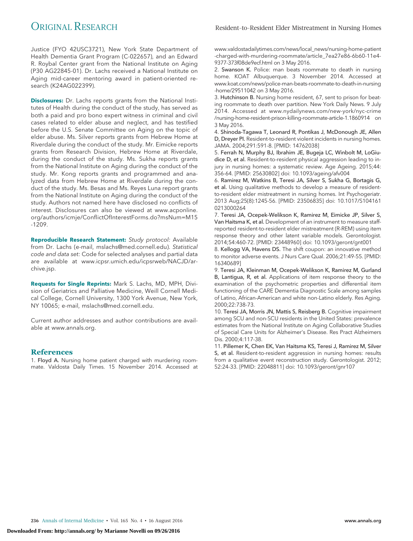Justice (FYO 42USC3721), New York State Department of Health Dementia Grant Program (C-022657), and an Edward R. Roybal Center grant from the National Institute on Aging (P30 AG22845-01). Dr. Lachs received a National Institute on Aging mid-career mentoring award in patient-oriented research (K24AG022399).

**Disclosures:** Dr. Lachs reports grants from the National Institutes of Health during the conduct of the study, has served as both a paid and pro bono expert witness in criminal and civil cases related to elder abuse and neglect, and has testified before the U.S. Senate Committee on Aging on the topic of elder abuse. Ms. Silver reports grants from Hebrew Home at Riverdale during the conduct of the study. Mr. Eimicke reports grants from Research Division, Hebrew Home at Riverdale, during the conduct of the study. Ms. Sukha reports grants from the National Institute on Aging during the conduct of the study. Mr. Kong reports grants and programmed and analyzed data from Hebrew Home at Riverdale during the conduct of the study. Ms. Besas and Ms. Reyes Luna report grants from the National Institute on Aging during the conduct of the study. Authors not named here have disclosed no conflicts of interest. Disclosures can also be viewed at [www.acponline.](http://www.acponline.org/authors/icmje/ConflictOfInterestForms.do?msNum=M15-1209) [org/authors/icmje/ConflictOfInterestForms.do?msNum=M15](http://www.acponline.org/authors/icmje/ConflictOfInterestForms.do?msNum=M15-1209) [-1209.](http://www.acponline.org/authors/icmje/ConflictOfInterestForms.do?msNum=M15-1209)

**Reproducible Research Statement:** Study protocol: Available from Dr. Lachs (e-mail, [mslachs@med.cornell.edu\)](mailto:mslachs@med.cornell.edu). Statistical code and data set: Code for selected analyses and partial data are available at [www.icpsr.umich.edu/icpsrweb/NACJD/ar](http://www.icpsr.umich.edu/icpsrweb/NACJD/archive.jsp)[chive.jsp.](http://www.icpsr.umich.edu/icpsrweb/NACJD/archive.jsp)

**Requests for Single Reprints:** Mark S. Lachs, MD, MPH, Division of Geriatrics and Palliative Medicine, Weill Cornell Medical College, Cornell University, 1300 York Avenue, New York, NY 10065; e-mail, [mslachs@med.cornell.edu.](mailto:mslachs@med.cornell.edu)

Current author addresses and author contributions are available at [www.annals.org.](http://www.annals.org)

#### **References**

1. Floyd A. Nursing home patient charged with murdering roommate. Valdosta Daily Times. 15 November 2014. Accessed at [www.valdostadailytimes.com/news/local\\_news/nursing-home-patient](http://www.valdostadailytimes.com/news/local_news/nursing-home-patient-charged-with-murdering-roommate/article_7ea27e86-6b60-11e4-9377-373f08de9ecf.html) [-charged-with-murdering-roommate/article\\_7ea27e86-6b60-11e4-](http://www.valdostadailytimes.com/news/local_news/nursing-home-patient-charged-with-murdering-roommate/article_7ea27e86-6b60-11e4-9377-373f08de9ecf.html) [9377-373f08de9ecf.html](http://www.valdostadailytimes.com/news/local_news/nursing-home-patient-charged-with-murdering-roommate/article_7ea27e86-6b60-11e4-9377-373f08de9ecf.html) on 3 May 2016.

2. Swanson K. Police: man beats roommate to death in nursing home. KOAT Albuquerque. 3 November 2014. Accessed at [www.koat.com/news/police-man-beats-roommate-to-death-in-nursing](http://www.koat.com/news/police-man-beats-roommate-to-death-in-nursing-home/29511042) [-home/29511042](http://www.koat.com/news/police-man-beats-roommate-to-death-in-nursing-home/29511042) on 3 May 2016.

3. Hutchinson B. Nursing home resident, 67, sent to prison for beating roommate to death over partition. New York Daily News. 9 July 2014. Accessed at [www.nydailynews.com/new-york/nyc-crime](http://www.nydailynews.com/new-york/nyc-crime/nursing-home-resident-prison-killing-roommate-article-1.1860914) [/nursing-home-resident-prison-killing-roommate-article-1.1860914](http://www.nydailynews.com/new-york/nyc-crime/nursing-home-resident-prison-killing-roommate-article-1.1860914) on 3 May 2016.

4. Shinoda-Tagawa T, Leonard R, Pontikas J, McDonough JE, Allen D, Dreyer PI. Resident-to-resident violent incidents in nursing homes. JAMA. 2004;291:591-8. [PMID: 14762038]

5. Ferrah N, Murphy BJ, Ibrahim JE, Bugeja LC, Winbolt M, LoGiudice D, et al. Resident-to-resident physical aggression leading to injury in nursing homes: a systematic review. Age Ageing. 2015;44: 356-64. [PMID: 25630802] doi: 10.1093/ageing/afv004

6. Ramirez M, Watkins B, Teresi JA, Silver S, Sukha G, Bortagis G, et al. Using qualitative methods to develop a measure of residentto-resident elder mistreatment in nursing homes. Int Psychogeriatr. 2013 Aug;25(8):1245-56. [PMID: 23506835] doi: 10.1017/S104161 0213000264

7. Teresi JA, Ocepek-Welikson K, Ramirez M, Eimicke JP, Silver S, Van Haitsma K, et al. Development of an instrument to measure staffreported resident-to-resident elder mistreatment (R-REM) using item response theory and other latent variable models. Gerontologist. 2014;54:460-72. [PMID: 23448960] doi: 10.1093/geront/gnt001

8. Kellogg VA, Havens DS. The shift coupon: an innovative method to monitor adverse events. J Nurs Care Qual. 2006;21:49-55. [PMID: 16340689]

9. Teresi JA, Kleinman M, Ocepek-Welikson K, Ramirez M, Gurland B, Lantigua, R, et al. Applications of item response theory to the examination of the psychometric properties and differential item functioning of the CARE Dementia Diagnostic Scale among samples of Latino, African-American and white non-Latino elderly. Res Aging. 2000;22:738-73.

10. Teresi JA, Morris JN, Mattis S, Reisberg B. Cognitive impairment among SCU and non-SCU residents in the United States: prevalence estimates from the National Institute on Aging Collaborative Studies of Special Care Units for Alzheimer's Disease. Res Pract Alzheimers Dis. 2000;4:117-38.

11. Pillemer K, Chen EK, Van Haitsma KS, Teresi J, Ramirez M, Silver S, et al. Resident-to-resident aggression in nursing homes: results from a qualitative event reconstruction study. Gerontologist. 2012; 52:24-33. [PMID: 22048811] doi: 10.1093/geront/gnr107